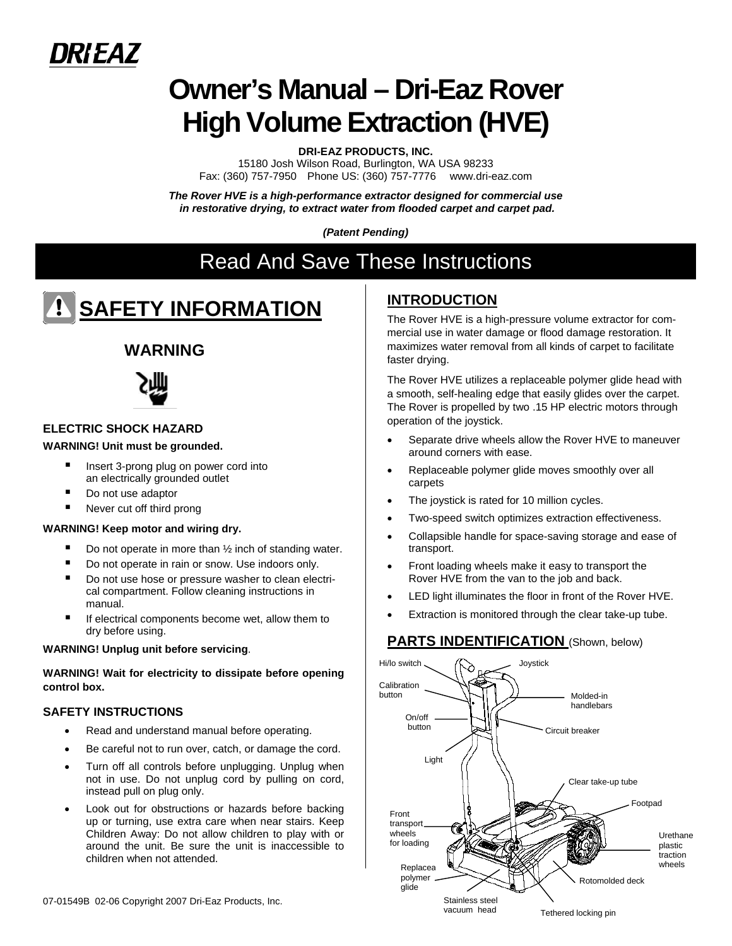

# **Owner's Manual – Dri-Eaz Rover High Volume Extraction (HVE)**

**DRI-EAZ PRODUCTS, INC.** 

15180 Josh Wilson Road, Burlington, WA USA 98233 Fax: (360) 757-7950 Phone US: (360) 757-7776 www.dri-eaz.com

*The Rover HVE is a high-performance extractor designed for commercial use in restorative drying, to extract water from flooded carpet and carpet pad.* 

*(Patent Pending)* 

# Read And Save These Instructions

# **SAFETY INFORMATION**

# **WARNING**



# **ELECTRIC SHOCK HAZARD**

## **WARNING! Unit must be grounded.**

- Insert 3-prong plug on power cord into an electrically grounded outlet
- Do not use adaptor
- Never cut off third prong

### **WARNING! Keep motor and wiring dry.**

- Do not operate in more than ½ inch of standing water.
- Do not operate in rain or snow. Use indoors only.
- Do not use hose or pressure washer to clean electrical compartment. Follow cleaning instructions in manual.
- If electrical components become wet, allow them to dry before using.

### **WARNING! Unplug unit before servicing**.

**WARNING! Wait for electricity to dissipate before opening control box.** 

# **SAFETY INSTRUCTIONS**

- Read and understand manual before operating.
- Be careful not to run over, catch, or damage the cord.
- Turn off all controls before unplugging. Unplug when not in use. Do not unplug cord by pulling on cord, instead pull on plug only.
- Look out for obstructions or hazards before backing up or turning, use extra care when near stairs. Keep Children Away: Do not allow children to play with or around the unit. Be sure the unit is inaccessible to children when not attended.

# **INTRODUCTION**

The Rover HVE is a high-pressure volume extractor for commercial use in water damage or flood damage restoration. It maximizes water removal from all kinds of carpet to facilitate faster drying.

The Rover HVE utilizes a replaceable polymer glide head with a smooth, self-healing edge that easily glides over the carpet. The Rover is propelled by two .15 HP electric motors through operation of the joystick.

- Separate drive wheels allow the Rover HVE to maneuver around corners with ease.
- Replaceable polymer glide moves smoothly over all carpets
- The joystick is rated for 10 million cycles.
- Two-speed switch optimizes extraction effectiveness.
- Collapsible handle for space-saving storage and ease of transport.
- Front loading wheels make it easy to transport the Rover HVE from the van to the job and back.
- LED light illuminates the floor in front of the Rover HVE.
- Extraction is monitored through the clear take-up tube.

# **PARTS INDENTIFICATION** (Shown, below)

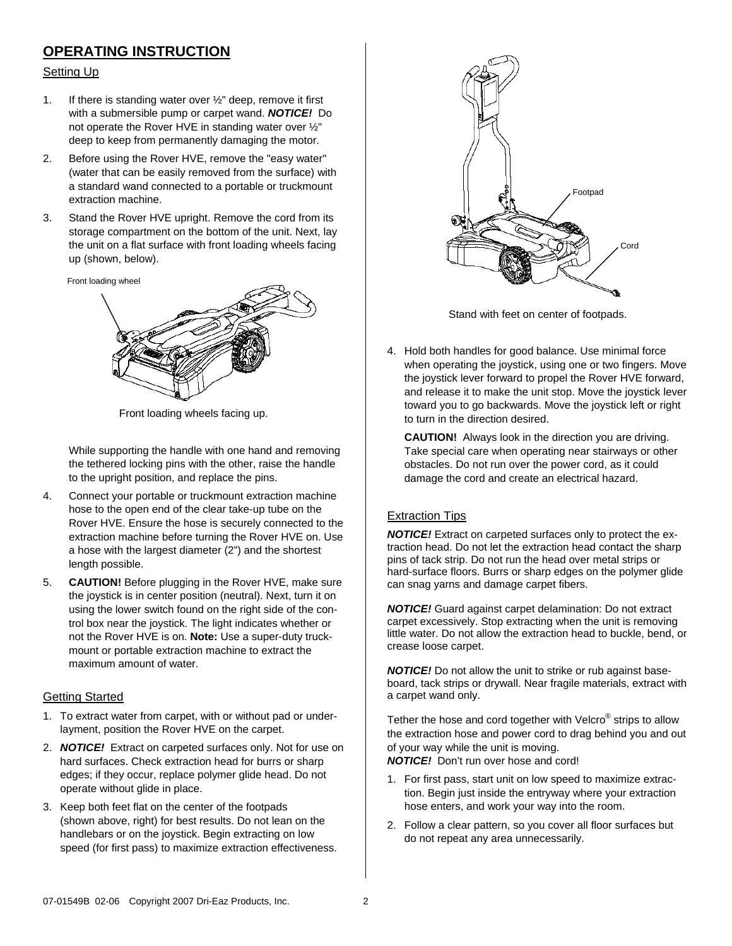# **OPERATING INSTRUCTION**

## Setting Up

- 1. If there is standing water over ½" deep, remove it first with a submersible pump or carpet wand. *NOTICE!* Do not operate the Rover HVE in standing water over ½" deep to keep from permanently damaging the motor.
- 2. Before using the Rover HVE, remove the "easy water" (water that can be easily removed from the surface) with a standard wand connected to a portable or truckmount extraction machine.
- 3. Stand the Rover HVE upright. Remove the cord from its storage compartment on the bottom of the unit. Next, lay the unit on a flat surface with front loading wheels facing up (shown, below).

Front loading wheel



Front loading wheels facing up.

While supporting the handle with one hand and removing the tethered locking pins with the other, raise the handle to the upright position, and replace the pins.

- 4. Connect your portable or truckmount extraction machine hose to the open end of the clear take-up tube on the Rover HVE. Ensure the hose is securely connected to the extraction machine before turning the Rover HVE on. Use a hose with the largest diameter (2") and the shortest length possible.
- 5. **CAUTION!** Before plugging in the Rover HVE, make sure the joystick is in center position (neutral). Next, turn it on using the lower switch found on the right side of the control box near the joystick. The light indicates whether or not the Rover HVE is on. **Note:** Use a super-duty truckmount or portable extraction machine to extract the maximum amount of water.

# Getting Started

- 1. To extract water from carpet, with or without pad or underlayment, position the Rover HVE on the carpet.
- 2. *NOTICE!* Extract on carpeted surfaces only. Not for use on hard surfaces. Check extraction head for burrs or sharp edges; if they occur, replace polymer glide head. Do not operate without glide in place.
- 3. Keep both feet flat on the center of the footpads (shown above, right) for best results. Do not lean on the handlebars or on the joystick. Begin extracting on low speed (for first pass) to maximize extraction effectiveness.



Stand with feet on center of footpads.

4. Hold both handles for good balance. Use minimal force when operating the joystick, using one or two fingers. Move the joystick lever forward to propel the Rover HVE forward, and release it to make the unit stop. Move the joystick lever toward you to go backwards. Move the joystick left or right to turn in the direction desired.

**CAUTION!** Always look in the direction you are driving. Take special care when operating near stairways or other obstacles. Do not run over the power cord, as it could damage the cord and create an electrical hazard.

# Extraction Tips

*NOTICE!* Extract on carpeted surfaces only to protect the extraction head. Do not let the extraction head contact the sharp pins of tack strip. Do not run the head over metal strips or hard-surface floors. Burrs or sharp edges on the polymer glide can snag yarns and damage carpet fibers.

*NOTICE!* Guard against carpet delamination: Do not extract carpet excessively. Stop extracting when the unit is removing little water. Do not allow the extraction head to buckle, bend, or crease loose carpet.

*NOTICE!* Do not allow the unit to strike or rub against baseboard, tack strips or drywall. Near fragile materials, extract with a carpet wand only.

Tether the hose and cord together with Velcro® strips to allow the extraction hose and power cord to drag behind you and out of your way while the unit is moving.

*NOTICE!* Don't run over hose and cord!

- 1. For first pass, start unit on low speed to maximize extraction. Begin just inside the entryway where your extraction hose enters, and work your way into the room.
- 2. Follow a clear pattern, so you cover all floor surfaces but do not repeat any area unnecessarily.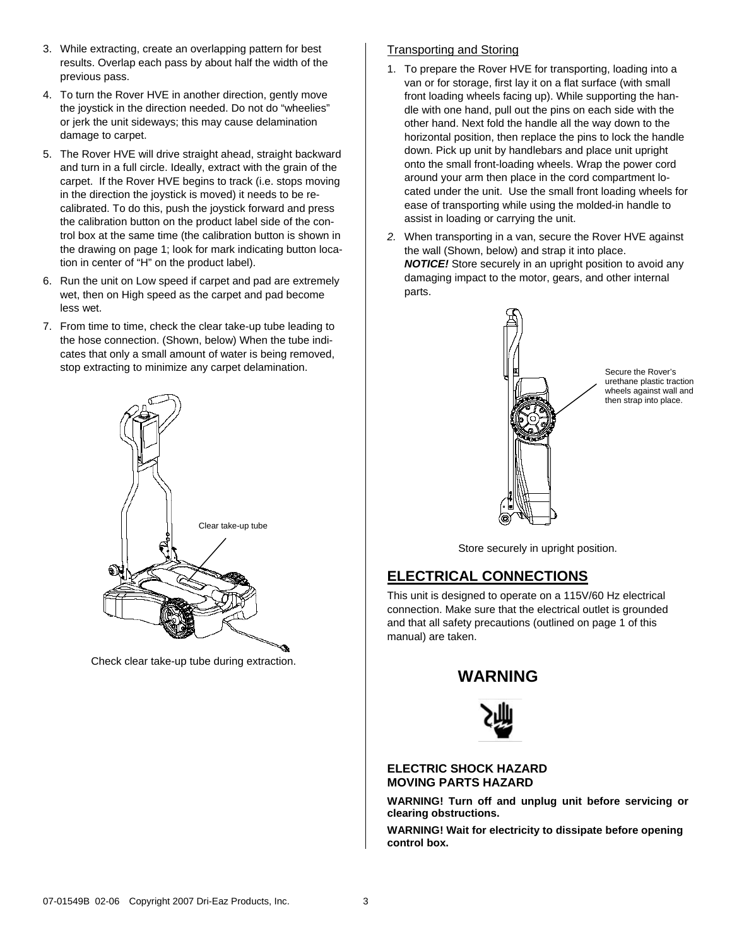- 3. While extracting, create an overlapping pattern for best results. Overlap each pass by about half the width of the previous pass.
- 4. To turn the Rover HVE in another direction, gently move the joystick in the direction needed. Do not do "wheelies" or jerk the unit sideways; this may cause delamination damage to carpet.
- 5. The Rover HVE will drive straight ahead, straight backward and turn in a full circle. Ideally, extract with the grain of the carpet. If the Rover HVE begins to track (i.e. stops moving in the direction the joystick is moved) it needs to be recalibrated. To do this, push the joystick forward and press the calibration button on the product label side of the control box at the same time (the calibration button is shown in the drawing on page 1; look for mark indicating button location in center of "H" on the product label).
- 6. Run the unit on Low speed if carpet and pad are extremely wet, then on High speed as the carpet and pad become less wet.
- 7. From time to time, check the clear take-up tube leading to the hose connection. (Shown, below) When the tube indicates that only a small amount of water is being removed, stop extracting to minimize any carpet delamination.



Check clear take-up tube during extraction.

# Transporting and Storing

- 1. To prepare the Rover HVE for transporting, loading into a van or for storage, first lay it on a flat surface (with small front loading wheels facing up). While supporting the handle with one hand, pull out the pins on each side with the other hand. Next fold the handle all the way down to the horizontal position, then replace the pins to lock the handle down. Pick up unit by handlebars and place unit upright onto the small front-loading wheels. Wrap the power cord around your arm then place in the cord compartment located under the unit. Use the small front loading wheels for ease of transporting while using the molded-in handle to assist in loading or carrying the unit.
- *2.* When transporting in a van, secure the Rover HVE against the wall (Shown, below) and strap it into place. *NOTICE!* Store securely in an upright position to avoid any damaging impact to the motor, gears, and other internal parts.



Secure the Rover's urethane plastic traction wheels against wall and then strap into place.

Store securely in upright position.

# **ELECTRICAL CONNECTIONS**

This unit is designed to operate on a 115V/60 Hz electrical connection. Make sure that the electrical outlet is grounded and that all safety precautions (outlined on page 1 of this manual) are taken.

# **WARNING**



## **ELECTRIC SHOCK HAZARD MOVING PARTS HAZARD**

**WARNING! Turn off and unplug unit before servicing or clearing obstructions.**

**WARNING! Wait for electricity to dissipate before opening control box.**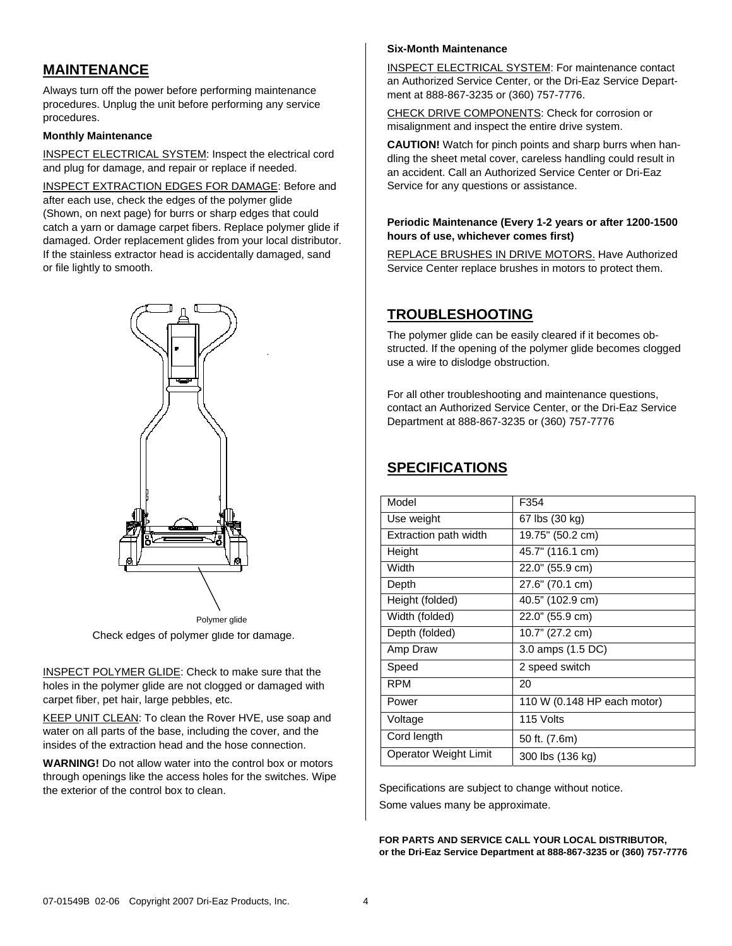# **MAINTENANCE**

Always turn off the power before performing maintenance procedures. Unplug the unit before performing any service procedures.

### **Monthly Maintenance**

INSPECT ELECTRICAL SYSTEM: Inspect the electrical cord and plug for damage, and repair or replace if needed.

INSPECT EXTRACTION EDGES FOR DAMAGE: Before and after each use, check the edges of the polymer glide (Shown, on next page) for burrs or sharp edges that could catch a yarn or damage carpet fibers. Replace polymer glide if damaged. Order replacement glides from your local distributor. If the stainless extractor head is accidentally damaged, sand or file lightly to smooth.



Check edges of polymer glide for damage. Polymer glide

INSPECT POLYMER GLIDE: Check to make sure that the holes in the polymer glide are not clogged or damaged with carpet fiber, pet hair, large pebbles, etc.

KEEP UNIT CLEAN: To clean the Rover HVE, use soap and water on all parts of the base, including the cover, and the insides of the extraction head and the hose connection.

**WARNING!** Do not allow water into the control box or motors through openings like the access holes for the switches. Wipe the exterior of the control box to clean.

### **Six-Month Maintenance**

INSPECT ELECTRICAL SYSTEM: For maintenance contact an Authorized Service Center, or the Dri-Eaz Service Department at 888-867-3235 or (360) 757-7776.

CHECK DRIVE COMPONENTS: Check for corrosion or misalignment and inspect the entire drive system.

**CAUTION!** Watch for pinch points and sharp burrs when handling the sheet metal cover, careless handling could result in an accident. Call an Authorized Service Center or Dri-Eaz Service for any questions or assistance.

### **Periodic Maintenance (Every 1-2 years or after 1200-1500 hours of use, whichever comes first)**

REPLACE BRUSHES IN DRIVE MOTORS. Have Authorized Service Center replace brushes in motors to protect them.

# **TROUBLESHOOTING**

The polymer glide can be easily cleared if it becomes obstructed. If the opening of the polymer glide becomes clogged use a wire to dislodge obstruction.

For all other troubleshooting and maintenance questions, contact an Authorized Service Center, or the Dri-Eaz Service Department at 888-867-3235 or (360) 757-7776

# **SPECIFICATIONS**

| Model                 | F354                        |
|-----------------------|-----------------------------|
| Use weight            | 67 lbs (30 kg)              |
| Extraction path width | 19.75" (50.2 cm)            |
| Height                | 45.7" (116.1 cm)            |
| Width                 | 22.0" (55.9 cm)             |
| Depth                 | 27.6" (70.1 cm)             |
| Height (folded)       | 40.5" (102.9 cm)            |
| Width (folded)        | 22.0" (55.9 cm)             |
| Depth (folded)        | 10.7" (27.2 cm)             |
| Amp Draw              | 3.0 amps (1.5 DC)           |
| Speed                 | 2 speed switch              |
| <b>RPM</b>            | 20                          |
| Power                 | 110 W (0.148 HP each motor) |
| Voltage               | 115 Volts                   |
| Cord length           | 50 ft. (7.6m)               |
| Operator Weight Limit | 300 lbs (136 kg)            |

Specifications are subject to change without notice. Some values many be approximate.

**FOR PARTS AND SERVICE CALL YOUR LOCAL DISTRIBUTOR, or the Dri-Eaz Service Department at 888-867-3235 or (360) 757-7776**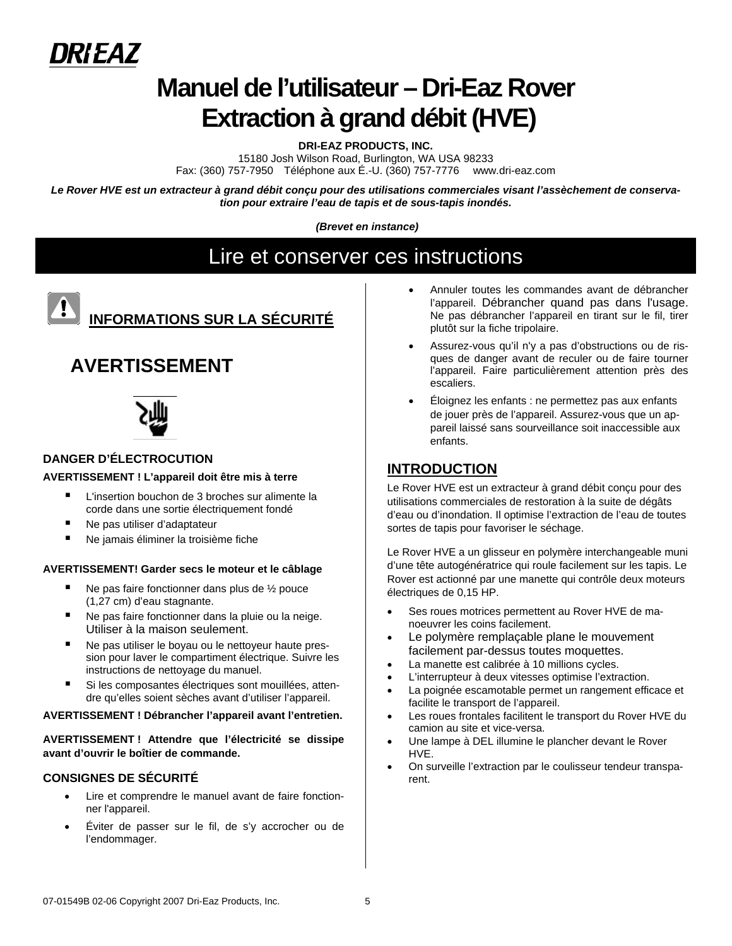

# **Manuel de l'utilisateur – Dri-Eaz Rover Extraction à grand débit (HVE)**

**DRI-EAZ PRODUCTS, INC.** 

15180 Josh Wilson Road, Burlington, WA USA 98233 Fax: (360) 757-7950 Téléphone aux É.-U. (360) 757-7776 www.dri-eaz.com

*Le Rover HVE est un extracteur à grand débit conçu pour des utilisations commerciales visant l'assèchement de conservation pour extraire l'eau de tapis et de sous-tapis inondés.* 

 *(Brevet en instance)* 

# Lire et conserver ces instructions



# **INFORMATIONS SUR LA SÉCURITÉ**

# **AVERTISSEMENT**



# **DANGER D'ÉLECTROCUTION**

## **AVERTISSEMENT ! L'appareil doit être mis à terre**

- L'insertion bouchon de 3 broches sur alimente la corde dans une sortie électriquement fondé
- Ne pas utiliser d'adaptateur
- Ne jamais éliminer la troisième fiche

### **AVERTISSEMENT! Garder secs le moteur et le câblage**

- $\blacksquare$  Ne pas faire fonctionner dans plus de  $\frac{1}{2}$  pouce (1,27 cm) d'eau stagnante.
- Ne pas faire fonctionner dans la pluie ou la neige. Utiliser à la maison seulement.
- Ne pas utiliser le boyau ou le nettoyeur haute pression pour laver le compartiment électrique. Suivre les instructions de nettoyage du manuel.
- Si les composantes électriques sont mouillées, attendre qu'elles soient sèches avant d'utiliser l'appareil.

### **AVERTISSEMENT ! Débrancher l'appareil avant l'entretien.**

**AVERTISSEMENT ! Attendre que l'électricité se dissipe avant d'ouvrir le boîtier de commande.** 

# **CONSIGNES DE SÉCURITÉ**

- Lire et comprendre le manuel avant de faire fonctionner l'appareil.
- Éviter de passer sur le fil, de s'y accrocher ou de l'endommager.
- Annuler toutes les commandes avant de débrancher l'appareil. Débrancher quand pas dans l'usage. Ne pas débrancher l'appareil en tirant sur le fil, tirer plutôt sur la fiche tripolaire.
- Assurez-vous qu'il n'y a pas d'obstructions ou de risques de danger avant de reculer ou de faire tourner l'appareil. Faire particulièrement attention près des escaliers.
- Éloignez les enfants : ne permettez pas aux enfants de jouer près de l'appareil. Assurez-vous que un appareil laissé sans sourveillance soit inaccessible aux enfants.

# **INTRODUCTION**

Le Rover HVE est un extracteur à grand débit conçu pour des utilisations commerciales de restoration à la suite de dégâts d'eau ou d'inondation. Il optimise l'extraction de l'eau de toutes sortes de tapis pour favoriser le séchage.

Le Rover HVE a un glisseur en polymère interchangeable muni d'une tête autogénératrice qui roule facilement sur les tapis. Le Rover est actionné par une manette qui contrôle deux moteurs électriques de 0,15 HP.

- Ses roues motrices permettent au Rover HVE de manoeuvrer les coins facilement.
- Le polymère remplaçable plane le mouvement facilement par-dessus toutes moquettes.
- La manette est calibrée à 10 millions cycles.
- L'interrupteur à deux vitesses optimise l'extraction.
- La poignée escamotable permet un rangement efficace et facilite le transport de l'appareil.
- Les roues frontales facilitent le transport du Rover HVE du camion au site et vice-versa.
- Une lampe à DEL illumine le plancher devant le Rover HVE.
- On surveille l'extraction par le coulisseur tendeur transparent.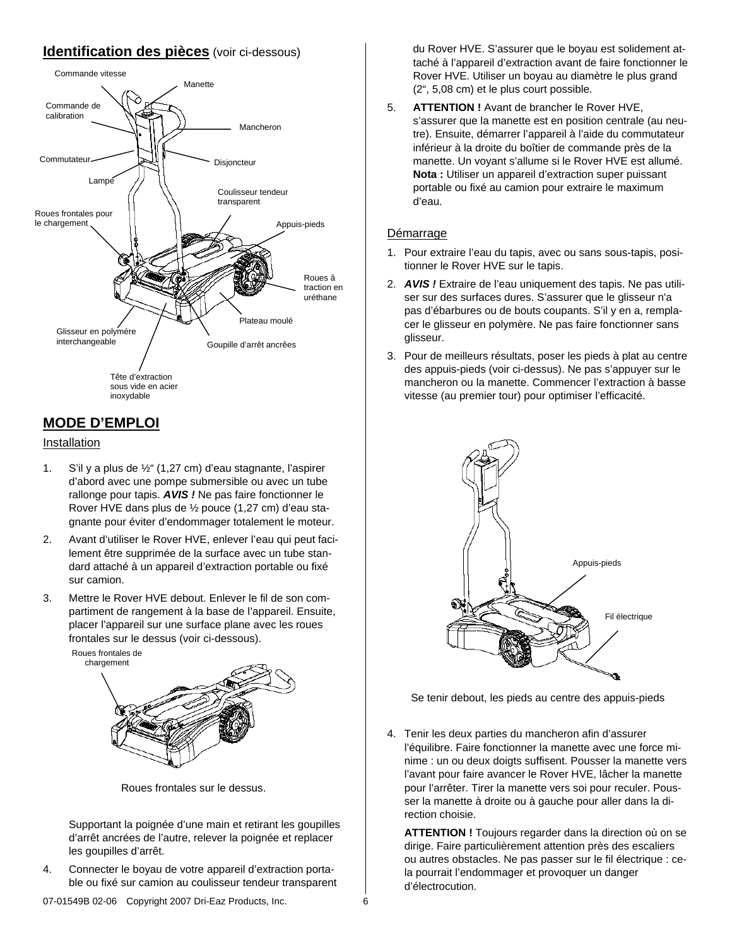# **Identification des pièces** (voir ci-dessous)



# **MODE D'EMPLOI**

### Installation

- 1. S'il y a plus de ½" (1,27 cm) d'eau stagnante, l'aspirer d'abord avec une pompe submersible ou avec un tube rallonge pour tapis. *AVIS !* Ne pas faire fonctionner le Rover HVE dans plus de ½ pouce (1,27 cm) d'eau stagnante pour éviter d'endommager totalement le moteur.
- 2. Avant d'utiliser le Rover HVE, enlever l'eau qui peut facilement être supprimée de la surface avec un tube standard attaché à un appareil d'extraction portable ou fixé sur camion.
- 3. Mettre le Rover HVE debout. Enlever le fil de son compartiment de rangement à la base de l'appareil. Ensuite, placer l'appareil sur une surface plane avec les roues frontales sur le dessus (voir ci-dessous).



Roues frontales sur le dessus.

Supportant la poignée d'une main et retirant les goupilles d'arrêt ancrées de l'autre, relever la poignée et replacer les goupilles d'arrêt.

4. Connecter le boyau de votre appareil d'extraction portable ou fixé sur camion au coulisseur tendeur transparent du Rover HVE. S'assurer que le boyau est solidement attaché à l'appareil d'extraction avant de faire fonctionner le Rover HVE. Utiliser un boyau au diamètre le plus grand (2", 5,08 cm) et le plus court possible.

5. **ATTENTION !** Avant de brancher le Rover HVE, s'assurer que la manette est en position centrale (au neutre). Ensuite, démarrer l'appareil à l'aide du commutateur inférieur à la droite du boîtier de commande près de la manette. Un voyant s'allume si le Rover HVE est allumé. **Nota :** Utiliser un appareil d'extraction super puissant portable ou fixé au camion pour extraire le maximum d'eau.

# Démarrage

- 1. Pour extraire l'eau du tapis, avec ou sans sous-tapis, positionner le Rover HVE sur le tapis.
- 2. *AVIS !* Extraire de l'eau uniquement des tapis. Ne pas utiliser sur des surfaces dures. S'assurer que le glisseur n'a pas d'ébarbures ou de bouts coupants. S'il y en a, remplacer le glisseur en polymère. Ne pas faire fonctionner sans glisseur.
- 3. Pour de meilleurs résultats, poser les pieds à plat au centre des appuis-pieds (voir ci-dessus). Ne pas s'appuyer sur le mancheron ou la manette. Commencer l'extraction à basse vitesse (au premier tour) pour optimiser l'efficacité.



Se tenir debout, les pieds au centre des appuis-pieds

4. Tenir les deux parties du mancheron afin d'assurer l'équilibre. Faire fonctionner la manette avec une force minime : un ou deux doigts suffisent. Pousser la manette vers l'avant pour faire avancer le Rover HVE, lâcher la manette pour l'arrêter. Tirer la manette vers soi pour reculer. Pousser la manette à droite ou à gauche pour aller dans la direction choisie.

**ATTENTION !** Toujours regarder dans la direction où on se dirige. Faire particulièrement attention près des escaliers ou autres obstacles. Ne pas passer sur le fil électrique : cela pourrait l'endommager et provoquer un danger d'électrocution.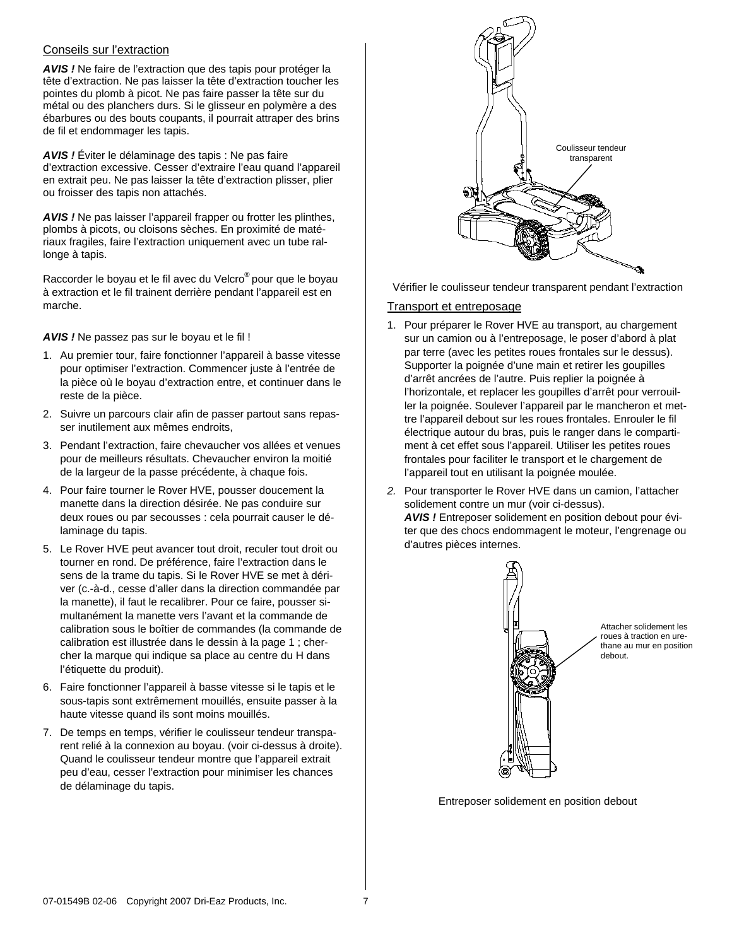### Conseils sur l'extraction

*AVIS !* Ne faire de l'extraction que des tapis pour protéger la tête d'extraction. Ne pas laisser la tête d'extraction toucher les pointes du plomb à picot. Ne pas faire passer la tête sur du métal ou des planchers durs. Si le glisseur en polymère a des ébarbures ou des bouts coupants, il pourrait attraper des brins de fil et endommager les tapis.

*AVIS !* Éviter le délaminage des tapis : Ne pas faire d'extraction excessive. Cesser d'extraire l'eau quand l'appareil en extrait peu. Ne pas laisser la tête d'extraction plisser, plier ou froisser des tapis non attachés.

*AVIS !* Ne pas laisser l'appareil frapper ou frotter les plinthes, plombs à picots, ou cloisons sèches. En proximité de matériaux fragiles, faire l'extraction uniquement avec un tube rallonge à tapis.

Raccorder le boyau et le fil avec du Velcro® pour que le boyau à extraction et le fil trainent derrière pendant l'appareil est en marche.

*AVIS !* Ne passez pas sur le boyau et le fil !

- 1. Au premier tour, faire fonctionner l'appareil à basse vitesse pour optimiser l'extraction. Commencer juste à l'entrée de la pièce où le boyau d'extraction entre, et continuer dans le reste de la pièce.
- 2. Suivre un parcours clair afin de passer partout sans repasser inutilement aux mêmes endroits,
- 3. Pendant l'extraction, faire chevaucher vos allées et venues pour de meilleurs résultats. Chevaucher environ la moitié de la largeur de la passe précédente, à chaque fois.
- 4. Pour faire tourner le Rover HVE, pousser doucement la manette dans la direction désirée. Ne pas conduire sur deux roues ou par secousses : cela pourrait causer le délaminage du tapis.
- 5. Le Rover HVE peut avancer tout droit, reculer tout droit ou tourner en rond. De préférence, faire l'extraction dans le sens de la trame du tapis. Si le Rover HVE se met à dériver (c.-à-d., cesse d'aller dans la direction commandée par la manette), il faut le recalibrer. Pour ce faire, pousser simultanément la manette vers l'avant et la commande de calibration sous le boîtier de commandes (la commande de calibration est illustrée dans le dessin à la page 1 ; chercher la marque qui indique sa place au centre du H dans l'étiquette du produit).
- 6. Faire fonctionner l'appareil à basse vitesse si le tapis et le sous-tapis sont extrêmement mouillés, ensuite passer à la haute vitesse quand ils sont moins mouillés.
- 7. De temps en temps, vérifier le coulisseur tendeur transparent relié à la connexion au boyau. (voir ci-dessus à droite). Quand le coulisseur tendeur montre que l'appareil extrait peu d'eau, cesser l'extraction pour minimiser les chances de délaminage du tapis.



Vérifier le coulisseur tendeur transparent pendant l'extraction

### Transport et entreposage

- 1. Pour préparer le Rover HVE au transport, au chargement sur un camion ou à l'entreposage, le poser d'abord à plat par terre (avec les petites roues frontales sur le dessus). Supporter la poignée d'une main et retirer les goupilles d'arrêt ancrées de l'autre. Puis replier la poignée à l'horizontale, et replacer les goupilles d'arrêt pour verrouiller la poignée. Soulever l'appareil par le mancheron et mettre l'appareil debout sur les roues frontales. Enrouler le fil électrique autour du bras, puis le ranger dans le compartiment à cet effet sous l'appareil. Utiliser les petites roues frontales pour faciliter le transport et le chargement de l'appareil tout en utilisant la poignée moulée.
- *2.* Pour transporter le Rover HVE dans un camion, l'attacher solidement contre un mur (voir ci-dessus). *AVIS !* Entreposer solidement en position debout pour éviter que des chocs endommagent le moteur, l'engrenage ou d'autres pièces internes.



Entreposer solidement en position debout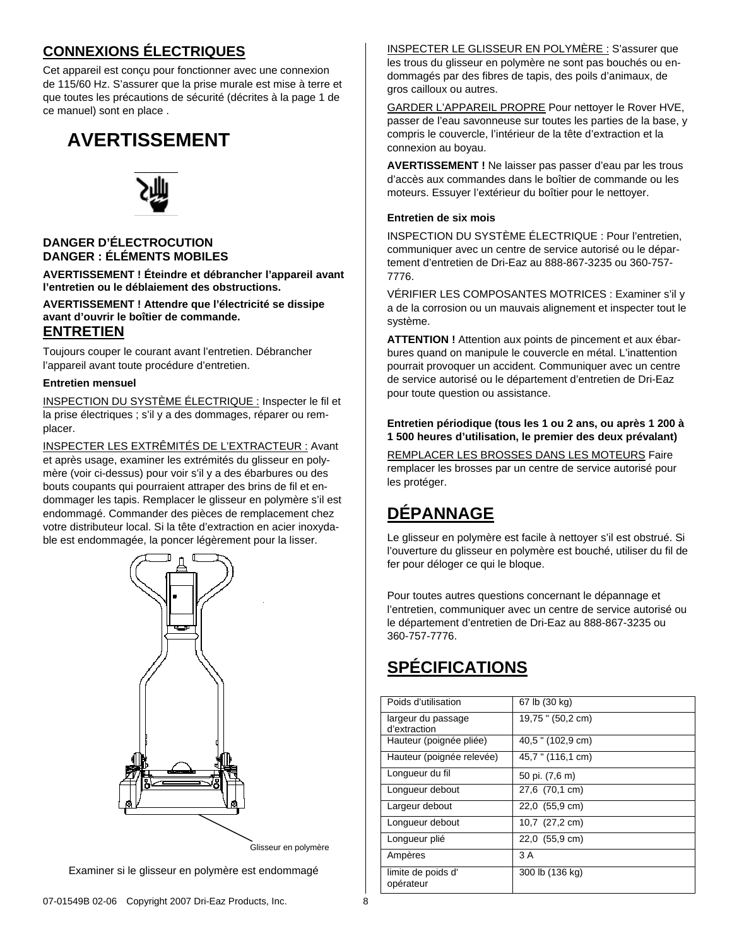# **CONNEXIONS ÉLECTRIQUES**

Cet appareil est conçu pour fonctionner avec une connexion de 115/60 Hz. S'assurer que la prise murale est mise à terre et que toutes les précautions de sécurité (décrites à la page 1 de ce manuel) sont en place .

# **AVERTISSEMENT**



## **DANGER D'ÉLECTROCUTION DANGER : ÉLÉMENTS MOBILES**

**AVERTISSEMENT ! Éteindre et débrancher l'appareil avant l'entretien ou le déblaiement des obstructions.**

**AVERTISSEMENT ! Attendre que l'électricité se dissipe avant d'ouvrir le boîtier de commande.**

# **ENTRETIEN**

Toujours couper le courant avant l'entretien. Débrancher l'appareil avant toute procédure d'entretien.

### **Entretien mensuel**

INSPECTION DU SYSTÈME ÉLECTRIQUE : Inspecter le fil et la prise électriques ; s'il y a des dommages, réparer ou remplacer.

INSPECTER LES EXTRÊMITÉS DE L'EXTRACTEUR : Avant et après usage, examiner les extrémités du glisseur en polymère (voir ci-dessus) pour voir s'il y a des ébarbures ou des bouts coupants qui pourraient attraper des brins de fil et endommager les tapis. Remplacer le glisseur en polymère s'il est endommagé. Commander des pièces de remplacement chez votre distributeur local. Si la tête d'extraction en acier inoxydable est endommagée, la poncer légèrement pour la lisser.



Examiner si le glisseur en polymère est endommagé

INSPECTER LE GLISSEUR EN POLYMÈRE : S'assurer que les trous du glisseur en polymère ne sont pas bouchés ou endommagés par des fibres de tapis, des poils d'animaux, de gros cailloux ou autres.

GARDER L'APPAREIL PROPRE Pour nettoyer le Rover HVE, passer de l'eau savonneuse sur toutes les parties de la base, y compris le couvercle, l'intérieur de la tête d'extraction et la connexion au boyau.

**AVERTISSEMENT !** Ne laisser pas passer d'eau par les trous d'accès aux commandes dans le boîtier de commande ou les moteurs. Essuyer l'extérieur du boîtier pour le nettoyer.

### **Entretien de six mois**

INSPECTION DU SYSTÈME ÉLECTRIQUE : Pour l'entretien, communiquer avec un centre de service autorisé ou le département d'entretien de Dri-Eaz au 888-867-3235 ou 360-757- 7776.

VÉRIFIER LES COMPOSANTES MOTRICES : Examiner s'il y a de la corrosion ou un mauvais alignement et inspecter tout le système.

**ATTENTION !** Attention aux points de pincement et aux ébarbures quand on manipule le couvercle en métal. L'inattention pourrait provoquer un accident. Communiquer avec un centre de service autorisé ou le département d'entretien de Dri-Eaz pour toute question ou assistance.

### **Entretien périodique (tous les 1 ou 2 ans, ou après 1 200 à 1 500 heures d'utilisation, le premier des deux prévalant)**

REMPLACER LES BROSSES DANS LES MOTEURS Faire remplacer les brosses par un centre de service autorisé pour les protéger.

# **DÉPANNAGE**

Le glisseur en polymère est facile à nettoyer s'il est obstrué. Si l'ouverture du glisseur en polymère est bouché, utiliser du fil de fer pour déloger ce qui le bloque.

Pour toutes autres questions concernant le dépannage et l'entretien, communiquer avec un centre de service autorisé ou le département d'entretien de Dri-Eaz au 888-867-3235 ou 360-757-7776.

# **SPÉCIFICATIONS**

| Poids d'utilisation                | 67 lb (30 kg)     |
|------------------------------------|-------------------|
| largeur du passage<br>d'extraction | 19,75 " (50,2 cm) |
| Hauteur (poignée pliée)            | 40,5 " (102,9 cm) |
| Hauteur (poignée relevée)          | 45,7 " (116,1 cm) |
| Longueur du fil                    | 50 pi. (7,6 m)    |
| Longueur debout                    | 27,6 (70,1 cm)    |
| Largeur debout                     | 22,0 (55,9 cm)    |
| Longueur debout                    | 10,7 (27,2 cm)    |
| Longueur plié                      | 22,0 (55,9 cm)    |
| Ampères                            | 3 A               |
| limite de poids d'<br>opérateur    | 300 lb (136 kg)   |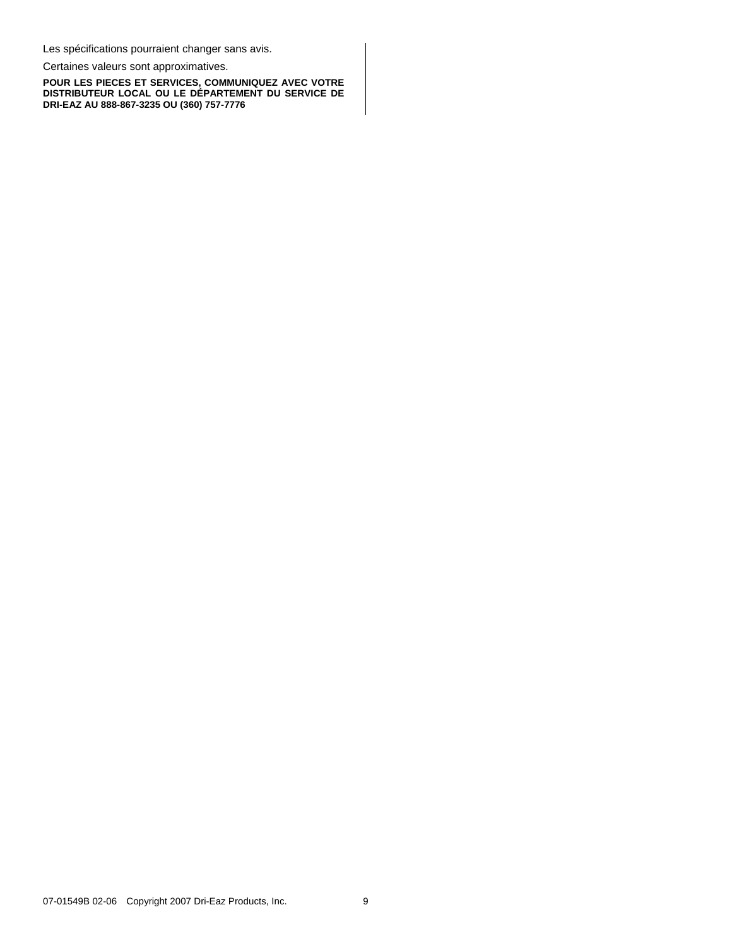Les spécifications pourraient changer sans avis.

Certaines valeurs sont approximatives.

**POUR LES PIECES ET SERVICES, COMMUNIQUEZ AVEC VOTRE DISTRIBUTEUR LOCAL OU LE DÉPARTEMENT DU SERVICE DE DRI-EAZ AU 888-867-3235 OU (360) 757-7776**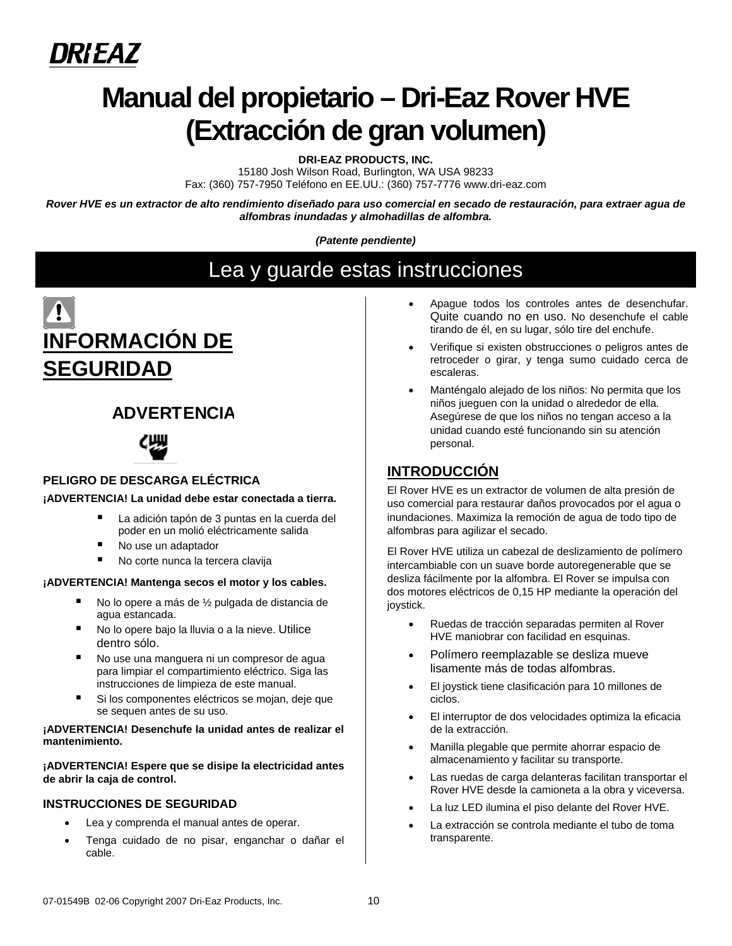

# **Manual del propietario – Dri-Eaz Rover HVE (Extracción de gran volumen)**

**DRI-EAZ PRODUCTS, INC.** 

15180 Josh Wilson Road, Burlington, WA USA 98233 Fax: (360) 757-7950 Teléfono en EE.UU.: (360) 757-7776 www.dri-eaz.com

*Rover HVE es un extractor de alto rendimiento diseñado para uso comercial en secado de restauración, para extraer agua de alfombras inundadas y almohadillas de alfombra.* 

*(Patente pendiente)* 

Lea y guarde estas instrucciones



# **ADVERTENCIA**



# **PELIGRO DE DESCARGA ELÉCTRICA**

### **¡ADVERTENCIA! La unidad debe estar conectada a tierra.**

- La adición tapón de 3 puntas en la cuerda del poder en un molió eléctricamente salida
- No use un adaptador
- No corte nunca la tercera clavija

### **¡ADVERTENCIA! Mantenga secos el motor y los cables.**

- No lo opere a más de ½ pulgada de distancia de agua estancada.
- No lo opere bajo la lluvia o a la nieve. Utilice dentro sólo.
- No use una manguera ni un compresor de agua para limpiar el compartimiento eléctrico. Siga las instrucciones de limpieza de este manual.
- Si los componentes eléctricos se mojan, deje que se sequen antes de su uso.

### **¡ADVERTENCIA! Desenchufe la unidad antes de realizar el mantenimiento.**

**¡ADVERTENCIA! Espere que se disipe la electricidad antes de abrir la caja de control.**

### **INSTRUCCIONES DE SEGURIDAD**

- Lea y comprenda el manual antes de operar.
- Tenga cuidado de no pisar, enganchar o dañar el cable.
- Apague todos los controles antes de desenchufar. Quite cuando no en uso. No desenchufe el cable tirando de él, en su lugar, sólo tire del enchufe.
- Verifique si existen obstrucciones o peligros antes de retroceder o girar, y tenga sumo cuidado cerca de escaleras.
- Manténgalo alejado de los niños: No permita que los niños jueguen con la unidad o alrededor de ella. Asegúrese de que los niños no tengan acceso a la unidad cuando esté funcionando sin su atención personal.

# **INTRODUCCIÓN**

El Rover HVE es un extractor de volumen de alta presión de uso comercial para restaurar daños provocados por el agua o inundaciones. Maximiza la remoción de agua de todo tipo de alfombras para agilizar el secado.

El Rover HVE utiliza un cabezal de deslizamiento de polímero intercambiable con un suave borde autoregenerable que se desliza fácilmente por la alfombra. El Rover se impulsa con dos motores eléctricos de 0,15 HP mediante la operación del joystick.

- Ruedas de tracción separadas permiten al Rover HVE maniobrar con facilidad en esquinas.
- Polímero reemplazable se desliza mueve lisamente más de todas alfombras.
- El joystick tiene clasificación para 10 millones de ciclos.
- El interruptor de dos velocidades optimiza la eficacia de la extracción.
- Manilla plegable que permite ahorrar espacio de almacenamiento y facilitar su transporte.
- Las ruedas de carga delanteras facilitan transportar el Rover HVE desde la camioneta a la obra y viceversa.
- La luz LED ilumina el piso delante del Rover HVE.
- La extracción se controla mediante el tubo de toma transparente.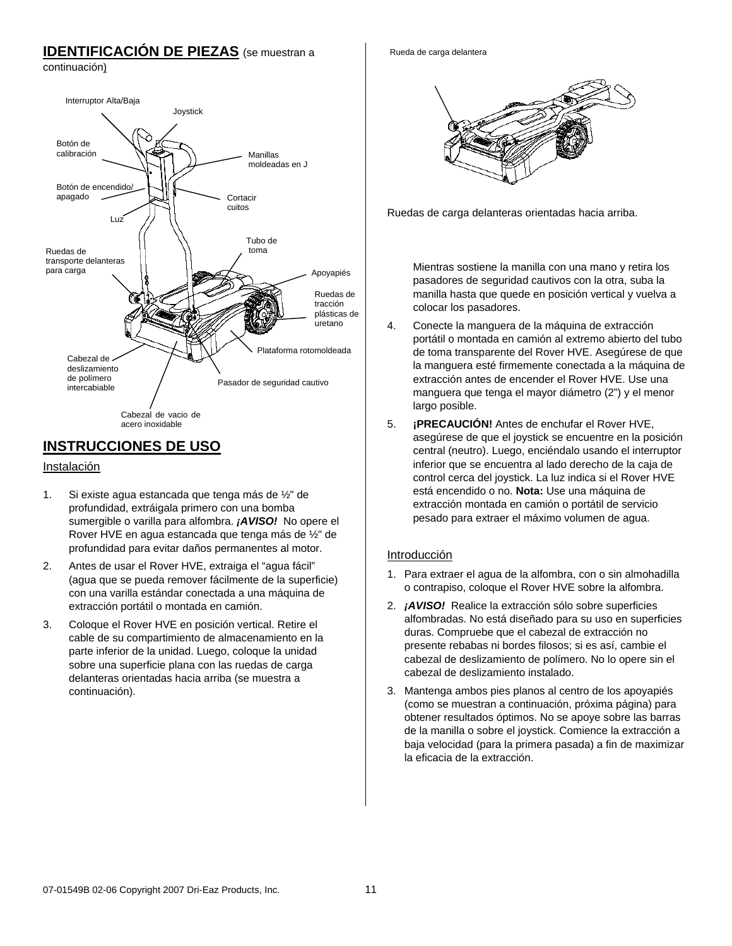# **IDENTIFICACIÓN DE PIEZAS** (se muestran a

continuación)



# **INSTRUCCIONES DE USO**

## Instalación

- 1. Si existe agua estancada que tenga más de ½" de profundidad, extráigala primero con una bomba sumergible o varilla para alfombra. *¡AVISO!* No opere el Rover HVE en agua estancada que tenga más de ½" de profundidad para evitar daños permanentes al motor.
- 2. Antes de usar el Rover HVE, extraiga el "agua fácil" (agua que se pueda remover fácilmente de la superficie) con una varilla estándar conectada a una máquina de extracción portátil o montada en camión.
- 3. Coloque el Rover HVE en posición vertical. Retire el cable de su compartimiento de almacenamiento en la parte inferior de la unidad. Luego, coloque la unidad sobre una superficie plana con las ruedas de carga delanteras orientadas hacia arriba (se muestra a continuación).

Rueda de carga delantera



Ruedas de carga delanteras orientadas hacia arriba.

Mientras sostiene la manilla con una mano y retira los pasadores de seguridad cautivos con la otra, suba la manilla hasta que quede en posición vertical y vuelva a colocar los pasadores.

- 4. Conecte la manguera de la máquina de extracción portátil o montada en camión al extremo abierto del tubo de toma transparente del Rover HVE. Asegúrese de que la manguera esté firmemente conectada a la máquina de extracción antes de encender el Rover HVE. Use una manguera que tenga el mayor diámetro (2") y el menor largo posible.
- 5. **¡PRECAUCIÓN!** Antes de enchufar el Rover HVE, asegúrese de que el joystick se encuentre en la posición central (neutro). Luego, enciéndalo usando el interruptor inferior que se encuentra al lado derecho de la caja de control cerca del joystick. La luz indica si el Rover HVE está encendido o no. **Nota:** Use una máquina de extracción montada en camión o portátil de servicio pesado para extraer el máximo volumen de agua.

# Introducción

- 1. Para extraer el agua de la alfombra, con o sin almohadilla o contrapiso, coloque el Rover HVE sobre la alfombra.
- 2. *¡AVISO!* Realice la extracción sólo sobre superficies alfombradas. No está diseñado para su uso en superficies duras. Compruebe que el cabezal de extracción no presente rebabas ni bordes filosos; si es así, cambie el cabezal de deslizamiento de polímero. No lo opere sin el cabezal de deslizamiento instalado.
- 3. Mantenga ambos pies planos al centro de los apoyapiés (como se muestran a continuación, próxima página) para obtener resultados óptimos. No se apoye sobre las barras de la manilla o sobre el joystick. Comience la extracción a baja velocidad (para la primera pasada) a fin de maximizar la eficacia de la extracción.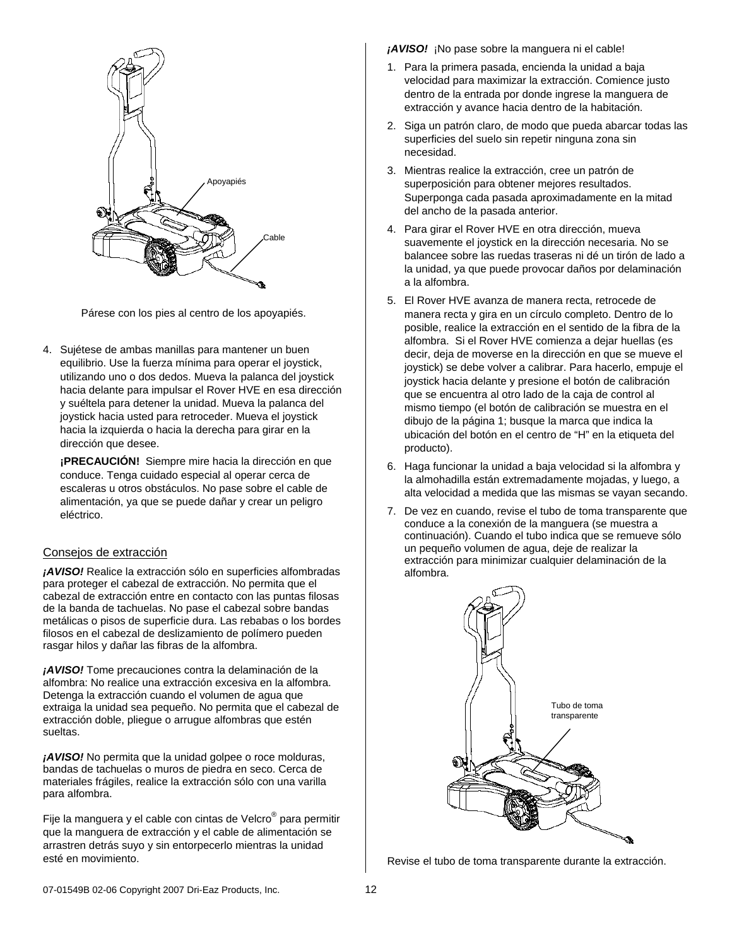

Párese con los pies al centro de los apoyapiés.

4. Sujétese de ambas manillas para mantener un buen equilibrio. Use la fuerza mínima para operar el joystick, utilizando uno o dos dedos. Mueva la palanca del joystick hacia delante para impulsar el Rover HVE en esa dirección y suéltela para detener la unidad. Mueva la palanca del joystick hacia usted para retroceder. Mueva el joystick hacia la izquierda o hacia la derecha para girar en la dirección que desee.

**¡PRECAUCIÓN!** Siempre mire hacia la dirección en que conduce. Tenga cuidado especial al operar cerca de escaleras u otros obstáculos. No pase sobre el cable de alimentación, ya que se puede dañar y crear un peligro eléctrico.

### Consejos de extracción

*¡AVISO!* Realice la extracción sólo en superficies alfombradas para proteger el cabezal de extracción. No permita que el cabezal de extracción entre en contacto con las puntas filosas de la banda de tachuelas. No pase el cabezal sobre bandas metálicas o pisos de superficie dura. Las rebabas o los bordes filosos en el cabezal de deslizamiento de polímero pueden rasgar hilos y dañar las fibras de la alfombra.

*¡AVISO!* Tome precauciones contra la delaminación de la alfombra: No realice una extracción excesiva en la alfombra. Detenga la extracción cuando el volumen de agua que extraiga la unidad sea pequeño. No permita que el cabezal de extracción doble, pliegue o arrugue alfombras que estén sueltas.

*¡AVISO!* No permita que la unidad golpee o roce molduras, bandas de tachuelas o muros de piedra en seco. Cerca de materiales frágiles, realice la extracción sólo con una varilla para alfombra.

Fije la manguera y el cable con cintas de Velcro® para permitir que la manguera de extracción y el cable de alimentación se arrastren detrás suyo y sin entorpecerlo mientras la unidad esté en movimiento.

*¡AVISO!* ¡No pase sobre la manguera ni el cable!

- 1. Para la primera pasada, encienda la unidad a baja velocidad para maximizar la extracción. Comience justo dentro de la entrada por donde ingrese la manguera de extracción y avance hacia dentro de la habitación.
- 2. Siga un patrón claro, de modo que pueda abarcar todas las superficies del suelo sin repetir ninguna zona sin necesidad.
- 3. Mientras realice la extracción, cree un patrón de superposición para obtener mejores resultados. Superponga cada pasada aproximadamente en la mitad del ancho de la pasada anterior.
- 4. Para girar el Rover HVE en otra dirección, mueva suavemente el joystick en la dirección necesaria. No se balancee sobre las ruedas traseras ni dé un tirón de lado a la unidad, ya que puede provocar daños por delaminación a la alfombra.
- 5. El Rover HVE avanza de manera recta, retrocede de manera recta y gira en un círculo completo. Dentro de lo posible, realice la extracción en el sentido de la fibra de la alfombra. Si el Rover HVE comienza a dejar huellas (es decir, deja de moverse en la dirección en que se mueve el joystick) se debe volver a calibrar. Para hacerlo, empuje el joystick hacia delante y presione el botón de calibración que se encuentra al otro lado de la caja de control al mismo tiempo (el botón de calibración se muestra en el dibujo de la página 1; busque la marca que indica la ubicación del botón en el centro de "H" en la etiqueta del producto).
- 6. Haga funcionar la unidad a baja velocidad si la alfombra y la almohadilla están extremadamente mojadas, y luego, a alta velocidad a medida que las mismas se vayan secando.
- 7. De vez en cuando, revise el tubo de toma transparente que conduce a la conexión de la manguera (se muestra a continuación). Cuando el tubo indica que se remueve sólo un pequeño volumen de agua, deje de realizar la extracción para minimizar cualquier delaminación de la alfombra.



Revise el tubo de toma transparente durante la extracción.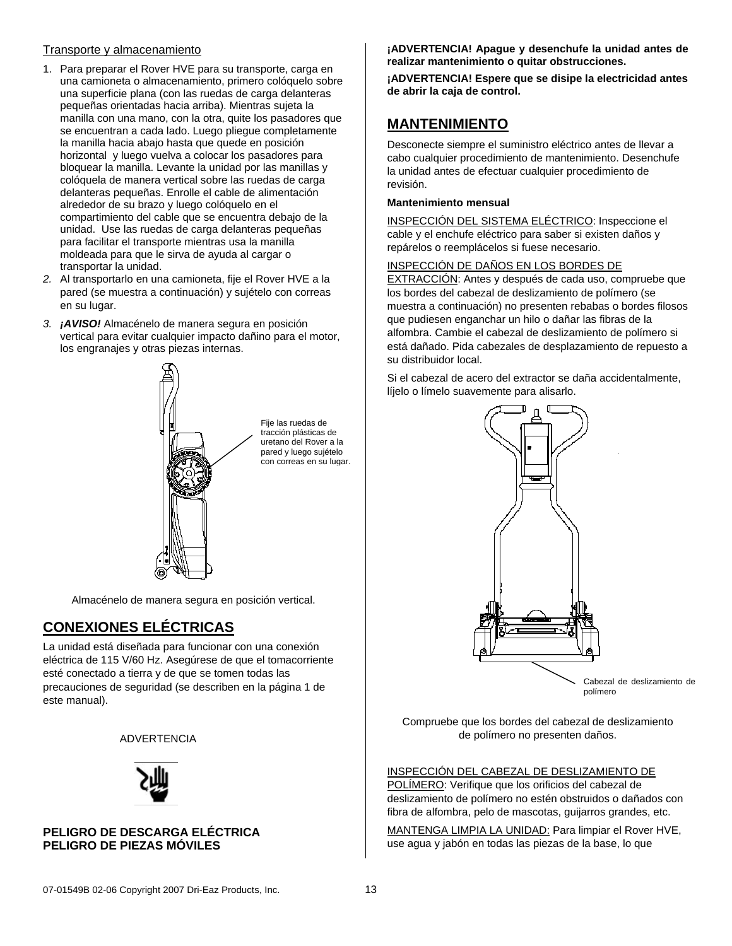## Transporte y almacenamiento

- 1. Para preparar el Rover HVE para su transporte, carga en una camioneta o almacenamiento, primero colóquelo sobre una superficie plana (con las ruedas de carga delanteras pequeñas orientadas hacia arriba). Mientras sujeta la manilla con una mano, con la otra, quite los pasadores que se encuentran a cada lado. Luego pliegue completamente la manilla hacia abajo hasta que quede en posición horizontal y luego vuelva a colocar los pasadores para bloquear la manilla. Levante la unidad por las manillas y colóquela de manera vertical sobre las ruedas de carga delanteras pequeñas. Enrolle el cable de alimentación alrededor de su brazo y luego colóquelo en el compartimiento del cable que se encuentra debajo de la unidad. Use las ruedas de carga delanteras pequeñas para facilitar el transporte mientras usa la manilla moldeada para que le sirva de ayuda al cargar o transportar la unidad.
- *2.* Al transportarlo en una camioneta, fije el Rover HVE a la pared (se muestra a continuación) y sujételo con correas en su lugar.
- *3. ¡AVISO!* Almacénelo de manera segura en posición vertical para evitar cualquier impacto dañino para el motor, los engranajes y otras piezas internas.



Fije las ruedas de tracción plásticas de uretano del Rover a la pared y luego sujételo con correas en su lugar.

Almacénelo de manera segura en posición vertical.

# **CONEXIONES ELÉCTRICAS**

La unidad está diseñada para funcionar con una conexión eléctrica de 115 V/60 Hz. Asegúrese de que el tomacorriente esté conectado a tierra y de que se tomen todas las precauciones de seguridad (se describen en la página 1 de este manual).

### **WARNING** ADVERTENCIA



### **PELIGRO DE DESCARGA ELÉCTRICA PELIGRO DE PIEZAS MÓVILES**

**¡ADVERTENCIA! Apague y desenchufe la unidad antes de realizar mantenimiento o quitar obstrucciones.**

**¡ADVERTENCIA! Espere que se disipe la electricidad antes de abrir la caja de control.**

# **MANTENIMIENTO**

Desconecte siempre el suministro eléctrico antes de llevar a cabo cualquier procedimiento de mantenimiento. Desenchufe la unidad antes de efectuar cualquier procedimiento de revisión.

### **Mantenimiento mensual**

INSPECCIÓN DEL SISTEMA ELÉCTRICO: Inspeccione el cable y el enchufe eléctrico para saber si existen daños y repárelos o reemplácelos si fuese necesario.

### INSPECCIÓN DE DAÑOS EN LOS BORDES DE

EXTRACCIÓN: Antes y después de cada uso, compruebe que los bordes del cabezal de deslizamiento de polímero (se muestra a continuación) no presenten rebabas o bordes filosos que pudiesen enganchar un hilo o dañar las fibras de la alfombra. Cambie el cabezal de deslizamiento de polímero si está dañado. Pida cabezales de desplazamiento de repuesto a su distribuidor local.

Si el cabezal de acero del extractor se daña accidentalmente, líjelo o límelo suavemente para alisarlo.



Cabezal de deslizamiento de polímero

Compruebe que los bordes del cabezal de deslizamiento de polímero no presenten daños.

# INSPECCIÓN DEL CABEZAL DE DESLIZAMIENTO DE

POLÍMERO: Verifique que los orificios del cabezal de deslizamiento de polímero no estén obstruidos o dañados con fibra de alfombra, pelo de mascotas, guijarros grandes, etc.

MANTENGA LIMPIA LA UNIDAD: Para limpiar el Rover HVE, use agua y jabón en todas las piezas de la base, lo que